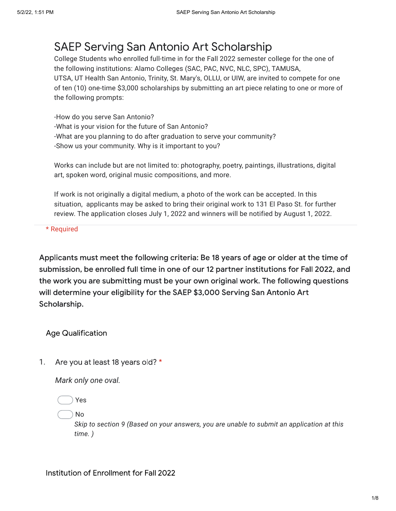## SAEP Serving San Antonio Art Scholarship

College Students who enrolled full-time in for the Fall 2022 semester college for the one of the following institutions: Alamo Colleges (SAC, PAC, NVC, NLC, SPC), TAMUSA, UTSA, UT Health San Antonio, Trinity, St. Mary's, OLLU, or UIW, are invited to compete for one of ten (10) one-time \$3,000 scholarships by submitting an art piece relating to one or more of the following prompts:

-How do you serve San Antonio? -What is your vision for the future of San Antonio? -What are you planning to do after graduation to serve your community? -Show us your community. Why is it important to you?

Works can include but are not limited to: photography, poetry, paintings, illustrations, digital art, spoken word, original music compositions, and more.

If work is not originally a digital medium, a photo of the work can be accepted. In this situation, applicants may be asked to bring their original work to 131 El Paso St. for further review. The application closes July 1, 2022 and winners will be notified by August 1, 2022.

\* Required

Applicants must meet the following criteria: Be 18 years of age or older at the time of submission, be enrolled full time in one of our 12 partner institutions for Fall 2022, and the work you are submitting must be your own original work. The following questions will determine your eligibility for the SAEP \$3,000 Serving San Antonio Art Scholarship.

Age Qualification

1. Are you at least 18 years old? \*

*Mark only one oval.*

Yes

No

*Skip to section 9 (Based on your answers, you are unable to submit an application at this time. )*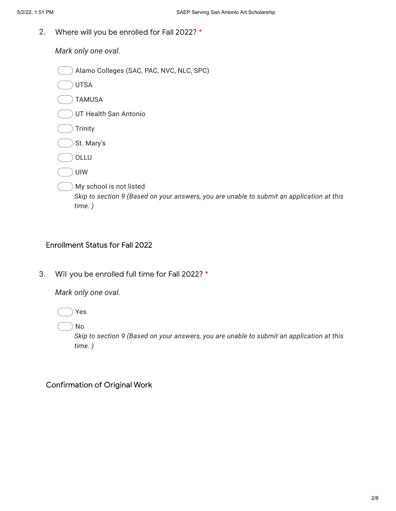2. Where will you be enrolled for Fall 2022? \*

*Mark only one oval.*

| Alamo Colleges (SAC, PAC, NVC, NLC, SPC)                                                                                       |
|--------------------------------------------------------------------------------------------------------------------------------|
| <b>UTSA</b>                                                                                                                    |
| <b>TAMUSA</b>                                                                                                                  |
| UT Health San Antonio                                                                                                          |
| <b>Trinity</b>                                                                                                                 |
| St. Mary's                                                                                                                     |
| OLLU                                                                                                                           |
| <b>UIW</b>                                                                                                                     |
| My school is not listed<br>Skip to section 9 (Based on your answers, you are unable to submit an application at this<br>time.) |

## Enrollment Status for Fall 2022

3. Will you be enrolled full time for Fall 2022? \*

*Mark only one oval.*

Yes

No

*Skip to section 9 (Based on your answers, you are unable to submit an application at this time. )*

Confirmation of Original Work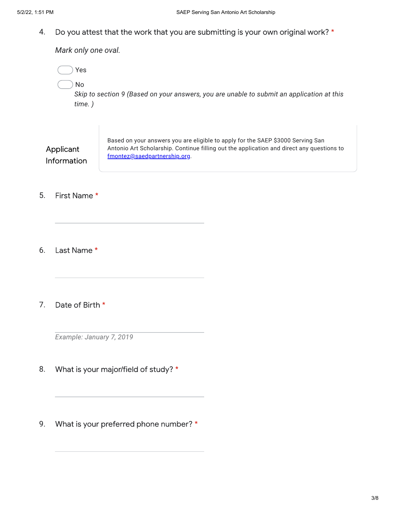4. Do you attest that the work that you are submitting is your own original work? \*

*Mark only one oval.*

| Yes<br>No<br>time.)             | Skip to section 9 (Based on your answers, you are unable to submit an application at this                                                                                                                    |
|---------------------------------|--------------------------------------------------------------------------------------------------------------------------------------------------------------------------------------------------------------|
| Applicant<br><b>Information</b> | Based on your answers you are eligible to apply for the SAEP \$3000 Serving San<br>Antonio Art Scholarship. Continue filling out the application and direct any questions to<br>fmontez@saedpartnership.org. |
| First Name *                    |                                                                                                                                                                                                              |

6. Last Name \*

5.

7. Date of Birth \*

*Example: January 7, 2019*

- 8. What is your major/field of study? \*
- 9. What is your preferred phone number? \*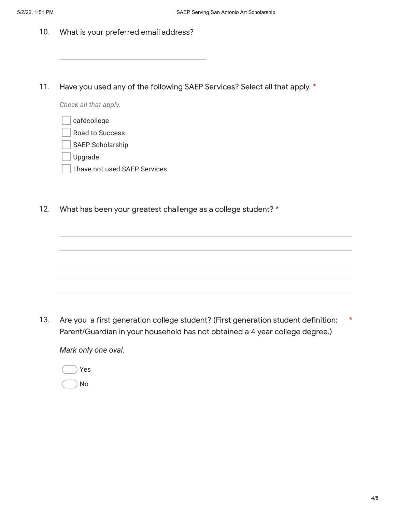- 10. What is your preferred email address?
- 11. Have you used any of the following SAEP Services? Select all that apply. \*

*Check all that apply.*

| cafécollege |
|-------------|
| n           |

- Road to Success
- SAEP Scholarship
- Upgrade
- I have not used SAEP Services
- 12. What has been your greatest challenge as a college student? \*

13. Are you a first generation college student? (First generation student definition: Parent/Guardian in your household has not obtained a 4 year college degree.) \*

*Mark only one oval.*

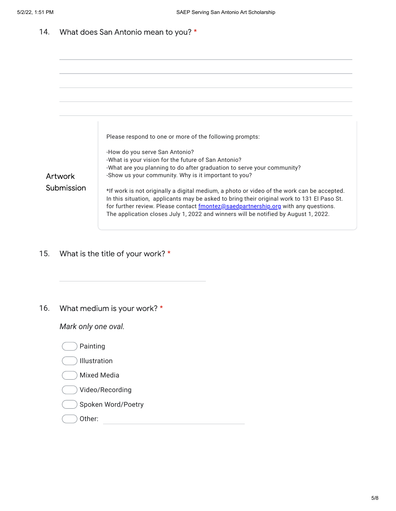14. What does San Antonio mean to you? \*



15. What is the title of your work? \*

16. What medium is your work? \*

*Mark only one oval.*

- Painting
- Illustration
- Mixed Media
- Video/Recording
- Spoken Word/Poetry
- Other: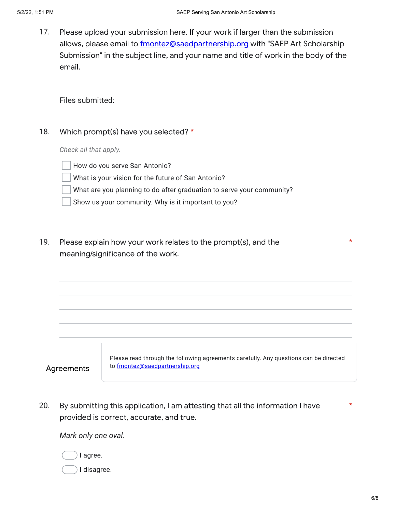17. Please upload your submission here. If your work if larger than the submission allows, please email to [fmontez@saedpartnership.org](mailto:fmontez@saedpartnership.org) with "SAEP Art Scholarship Submission" in the subject line, and your name and title of work in the body of the email.

## Files submitted:

18. Which prompt(s) have you selected? \*

*Check all that apply.*

How do you serve San Antonio?

What is your vision for the future of San Antonio?

What are you planning to do after graduation to serve your community?

Show us your community. Why is it important to you?

19. Please explain how your work relates to the prompt(s), and the meaning/significance of the work.

Agreements

Please read through the following agreements carefully. Any questions can be directed to [fmontez@saedpartnership.org](mailto:fmontez@saedpartnership.org)

20. By submitting this application, I am attesting that all the information I have provided is correct, accurate, and true. \*

*Mark only one oval.*

I agree.

I disagree.

\*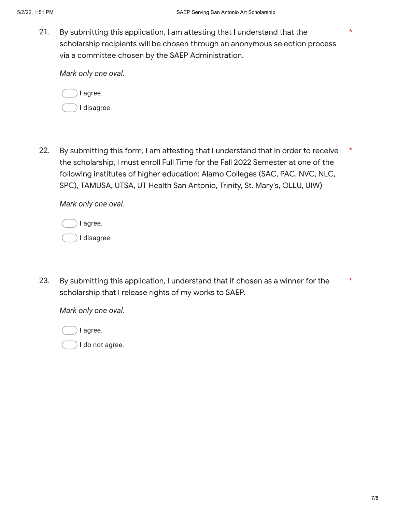21. By submitting this application, I am attesting that I understand that the scholarship recipients will be chosen through an anonymous selection process via a committee chosen by the SAEP Administration.

*Mark only one oval.*



22. By submitting this form, I am attesting that I understand that in order to receive the scholarship, I must enroll Full Time for the Fall 2022 Semester at one of the following institutes of higher education: Alamo Colleges (SAC, PAC, NVC, NLC, SPC), TAMUSA, UTSA, UT Health San Antonio, Trinity, St. Mary's, OLLU, UIW) \*

*Mark only one oval.*

| I agree.    |
|-------------|
| I disagree. |

23. By submitting this application, I understand that if chosen as a winner for the scholarship that I release rights of my works to SAEP. \*

*Mark only one oval.*

I agree.

I do not agree.

\*